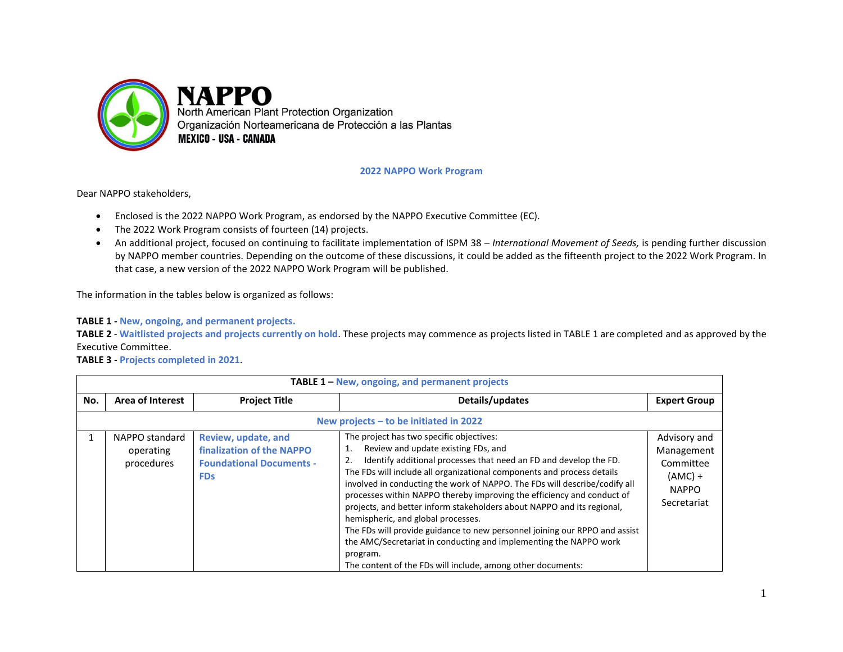

## **2022 NAPPO Work Program**

Dear NAPPO stakeholders,

- Enclosed is the 2022 NAPPO Work Program, as endorsed by the NAPPO Executive Committee (EC).
- The 2022 Work Program consists of fourteen (14) projects.
- An additional project, focused on continuing to facilitate implementation of ISPM 38 *International Movement of Seeds,* is pending further discussion by NAPPO member countries. Depending on the outcome of these discussions, it could be added as the fifteenth project to the 2022 Work Program. In that case, a new version of the 2022 NAPPO Work Program will be published.

The information in the tables below is organized as follows:

**TABLE 1 - New, ongoing, and permanent projects.**

**TABLE 2** - **Waitlisted projects and projects currently on hold**. These projects may commence as projects listed in TABLE 1 are completed and as approved by the Executive Committee.

**TABLE 3** - **Projects completed in 2021**.

|     | <b>TABLE 1 - New, ongoing, and permanent projects</b> |                                                                                                   |                                                                                                                                                                                                                                                                                                                                                                                                                                                                                                                                                                                                                                                                                                                                            |                                                                                     |  |  |
|-----|-------------------------------------------------------|---------------------------------------------------------------------------------------------------|--------------------------------------------------------------------------------------------------------------------------------------------------------------------------------------------------------------------------------------------------------------------------------------------------------------------------------------------------------------------------------------------------------------------------------------------------------------------------------------------------------------------------------------------------------------------------------------------------------------------------------------------------------------------------------------------------------------------------------------------|-------------------------------------------------------------------------------------|--|--|
| No. | <b>Area of Interest</b>                               | <b>Project Title</b>                                                                              | Details/updates                                                                                                                                                                                                                                                                                                                                                                                                                                                                                                                                                                                                                                                                                                                            | <b>Expert Group</b>                                                                 |  |  |
|     | New projects $-$ to be initiated in 2022              |                                                                                                   |                                                                                                                                                                                                                                                                                                                                                                                                                                                                                                                                                                                                                                                                                                                                            |                                                                                     |  |  |
|     | NAPPO standard<br>operating<br>procedures             | Review, update, and<br>finalization of the NAPPO<br><b>Foundational Documents -</b><br><b>FDs</b> | The project has two specific objectives:<br>Review and update existing FDs, and<br>1.<br>Identify additional processes that need an FD and develop the FD.<br>The FDs will include all organizational components and process details<br>involved in conducting the work of NAPPO. The FDs will describe/codify all<br>processes within NAPPO thereby improving the efficiency and conduct of<br>projects, and better inform stakeholders about NAPPO and its regional,<br>hemispheric, and global processes.<br>The FDs will provide guidance to new personnel joining our RPPO and assist<br>the AMC/Secretariat in conducting and implementing the NAPPO work<br>program.<br>The content of the FDs will include, among other documents: | Advisory and<br>Management<br>Committee<br>$(AMC) +$<br><b>NAPPO</b><br>Secretariat |  |  |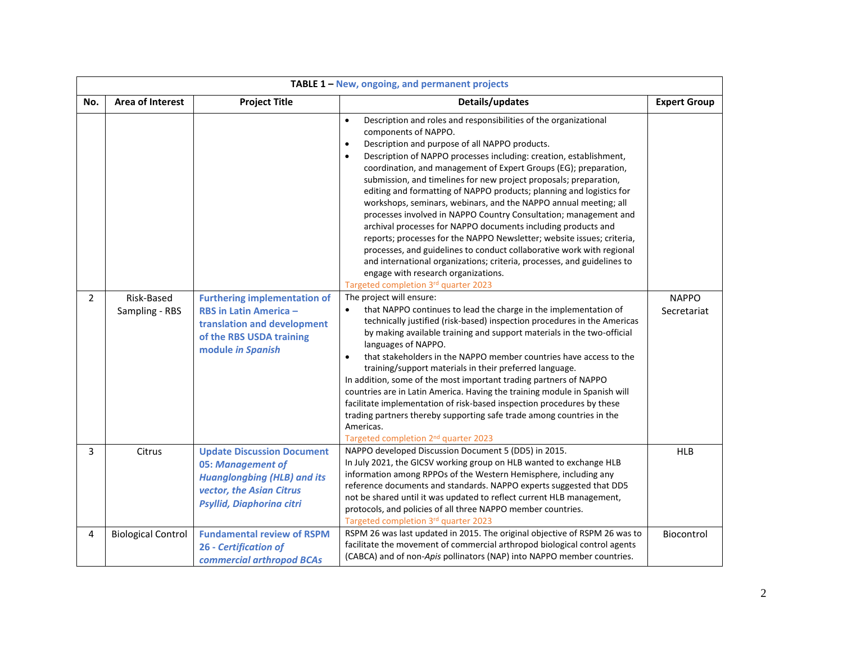|                | TABLE 1 - New, ongoing, and permanent projects |                                                                                                                                                       |                                                                                                                                                                                                                                                                                                                                                                                                                                                                                                                                                                                                                                                                                                                                                                                                                                                                                                                                                                                                                            |                     |  |
|----------------|------------------------------------------------|-------------------------------------------------------------------------------------------------------------------------------------------------------|----------------------------------------------------------------------------------------------------------------------------------------------------------------------------------------------------------------------------------------------------------------------------------------------------------------------------------------------------------------------------------------------------------------------------------------------------------------------------------------------------------------------------------------------------------------------------------------------------------------------------------------------------------------------------------------------------------------------------------------------------------------------------------------------------------------------------------------------------------------------------------------------------------------------------------------------------------------------------------------------------------------------------|---------------------|--|
| No.            | <b>Area of Interest</b>                        | <b>Project Title</b>                                                                                                                                  | Details/updates                                                                                                                                                                                                                                                                                                                                                                                                                                                                                                                                                                                                                                                                                                                                                                                                                                                                                                                                                                                                            | <b>Expert Group</b> |  |
| $\overline{2}$ | Risk-Based                                     | <b>Furthering implementation of</b>                                                                                                                   | Description and roles and responsibilities of the organizational<br>$\bullet$<br>components of NAPPO.<br>Description and purpose of all NAPPO products.<br>$\bullet$<br>Description of NAPPO processes including: creation, establishment,<br>$\bullet$<br>coordination, and management of Expert Groups (EG); preparation,<br>submission, and timelines for new project proposals; preparation,<br>editing and formatting of NAPPO products; planning and logistics for<br>workshops, seminars, webinars, and the NAPPO annual meeting; all<br>processes involved in NAPPO Country Consultation; management and<br>archival processes for NAPPO documents including products and<br>reports; processes for the NAPPO Newsletter; website issues; criteria,<br>processes, and guidelines to conduct collaborative work with regional<br>and international organizations; criteria, processes, and guidelines to<br>engage with research organizations.<br>Targeted completion 3rd quarter 2023<br>The project will ensure: | <b>NAPPO</b>        |  |
|                | Sampling - RBS                                 | <b>RBS in Latin America -</b><br>translation and development<br>of the RBS USDA training<br>module in Spanish                                         | that NAPPO continues to lead the charge in the implementation of<br>$\bullet$<br>technically justified (risk-based) inspection procedures in the Americas<br>by making available training and support materials in the two-official<br>languages of NAPPO.<br>that stakeholders in the NAPPO member countries have access to the<br>$\bullet$<br>training/support materials in their preferred language.<br>In addition, some of the most important trading partners of NAPPO<br>countries are in Latin America. Having the training module in Spanish will<br>facilitate implementation of risk-based inspection procedures by these<br>trading partners thereby supporting safe trade among countries in the<br>Americas.<br>Targeted completion 2 <sup>nd</sup> quarter 2023                                                                                                                                                                                                                                            | Secretariat         |  |
| 3              | Citrus                                         | <b>Update Discussion Document</b><br>05: Management of<br><b>Huanglongbing (HLB) and its</b><br>vector, the Asian Citrus<br>Psyllid, Diaphorina citri | NAPPO developed Discussion Document 5 (DD5) in 2015.<br>In July 2021, the GICSV working group on HLB wanted to exchange HLB<br>information among RPPOs of the Western Hemisphere, including any<br>reference documents and standards. NAPPO experts suggested that DD5<br>not be shared until it was updated to reflect current HLB management,<br>protocols, and policies of all three NAPPO member countries.<br>Targeted completion 3rd quarter 2023                                                                                                                                                                                                                                                                                                                                                                                                                                                                                                                                                                    | <b>HLB</b>          |  |
| 4              | <b>Biological Control</b>                      | <b>Fundamental review of RSPM</b><br><b>26 - Certification of</b><br>commercial arthropod BCAs                                                        | RSPM 26 was last updated in 2015. The original objective of RSPM 26 was to<br>facilitate the movement of commercial arthropod biological control agents<br>(CABCA) and of non-Apis pollinators (NAP) into NAPPO member countries.                                                                                                                                                                                                                                                                                                                                                                                                                                                                                                                                                                                                                                                                                                                                                                                          | Biocontrol          |  |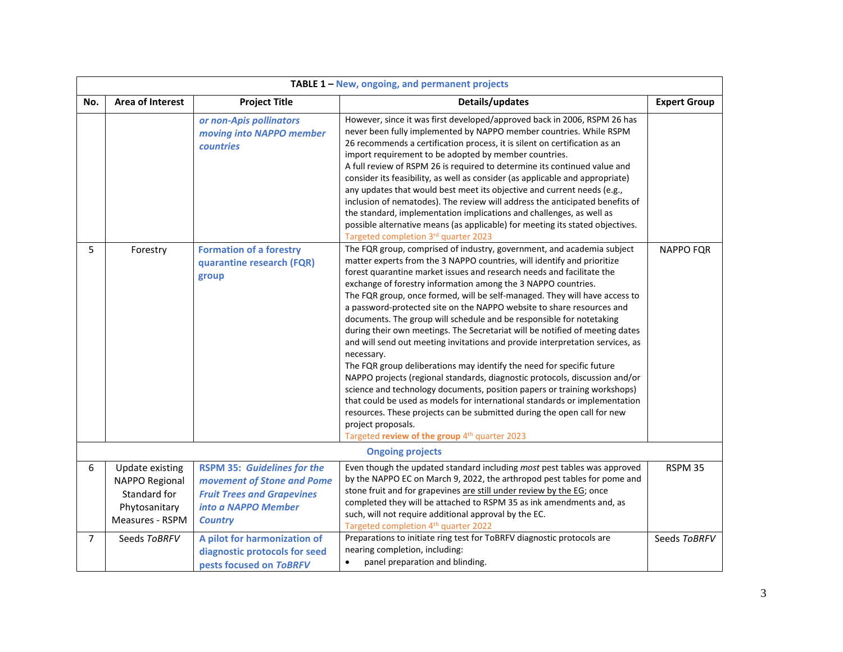|                | TABLE 1 - New, ongoing, and permanent projects                                               |                                                                                                                                                |                                                                                                                                                                                                                                                                                                                                                                                                                                                                                                                                                                                                                                                                                                                                                                                                                                                                                                                                                                                                                                                                                                                                                                               |                     |
|----------------|----------------------------------------------------------------------------------------------|------------------------------------------------------------------------------------------------------------------------------------------------|-------------------------------------------------------------------------------------------------------------------------------------------------------------------------------------------------------------------------------------------------------------------------------------------------------------------------------------------------------------------------------------------------------------------------------------------------------------------------------------------------------------------------------------------------------------------------------------------------------------------------------------------------------------------------------------------------------------------------------------------------------------------------------------------------------------------------------------------------------------------------------------------------------------------------------------------------------------------------------------------------------------------------------------------------------------------------------------------------------------------------------------------------------------------------------|---------------------|
| No.            | <b>Area of Interest</b>                                                                      | <b>Project Title</b>                                                                                                                           | Details/updates                                                                                                                                                                                                                                                                                                                                                                                                                                                                                                                                                                                                                                                                                                                                                                                                                                                                                                                                                                                                                                                                                                                                                               | <b>Expert Group</b> |
|                |                                                                                              | or non-Apis pollinators<br>moving into NAPPO member<br><b>countries</b>                                                                        | However, since it was first developed/approved back in 2006, RSPM 26 has<br>never been fully implemented by NAPPO member countries. While RSPM<br>26 recommends a certification process, it is silent on certification as an<br>import requirement to be adopted by member countries.<br>A full review of RSPM 26 is required to determine its continued value and<br>consider its feasibility, as well as consider (as applicable and appropriate)<br>any updates that would best meet its objective and current needs (e.g.,<br>inclusion of nematodes). The review will address the anticipated benefits of<br>the standard, implementation implications and challenges, as well as<br>possible alternative means (as applicable) for meeting its stated objectives.<br>Targeted completion 3rd quarter 2023                                                                                                                                                                                                                                                                                                                                                               |                     |
| 5              | Forestry                                                                                     | <b>Formation of a forestry</b><br>quarantine research (FQR)<br>group                                                                           | The FQR group, comprised of industry, government, and academia subject<br>matter experts from the 3 NAPPO countries, will identify and prioritize<br>forest quarantine market issues and research needs and facilitate the<br>exchange of forestry information among the 3 NAPPO countries.<br>The FQR group, once formed, will be self-managed. They will have access to<br>a password-protected site on the NAPPO website to share resources and<br>documents. The group will schedule and be responsible for notetaking<br>during their own meetings. The Secretariat will be notified of meeting dates<br>and will send out meeting invitations and provide interpretation services, as<br>necessary.<br>The FQR group deliberations may identify the need for specific future<br>NAPPO projects (regional standards, diagnostic protocols, discussion and/or<br>science and technology documents, position papers or training workshops)<br>that could be used as models for international standards or implementation<br>resources. These projects can be submitted during the open call for new<br>project proposals.<br>Targeted review of the group 4th quarter 2023 | <b>NAPPO FOR</b>    |
|                |                                                                                              |                                                                                                                                                | <b>Ongoing projects</b>                                                                                                                                                                                                                                                                                                                                                                                                                                                                                                                                                                                                                                                                                                                                                                                                                                                                                                                                                                                                                                                                                                                                                       |                     |
| 6              | <b>Update existing</b><br>NAPPO Regional<br>Standard for<br>Phytosanitary<br>Measures - RSPM | <b>RSPM 35: Guidelines for the</b><br>movement of Stone and Pome<br><b>Fruit Trees and Grapevines</b><br>into a NAPPO Member<br><b>Country</b> | Even though the updated standard including most pest tables was approved<br>by the NAPPO EC on March 9, 2022, the arthropod pest tables for pome and<br>stone fruit and for grapevines are still under review by the EG; once<br>completed they will be attached to RSPM 35 as ink amendments and, as<br>such, will not require additional approval by the EC.<br>Targeted completion 4 <sup>th</sup> quarter 2022                                                                                                                                                                                                                                                                                                                                                                                                                                                                                                                                                                                                                                                                                                                                                            | RSPM 35             |
| $\overline{7}$ | Seeds ToBRFV                                                                                 | A pilot for harmonization of<br>diagnostic protocols for seed<br>pests focused on ToBRFV                                                       | Preparations to initiate ring test for ToBRFV diagnostic protocols are<br>nearing completion, including:<br>panel preparation and blinding.<br>$\bullet$                                                                                                                                                                                                                                                                                                                                                                                                                                                                                                                                                                                                                                                                                                                                                                                                                                                                                                                                                                                                                      | Seeds ToBRFV        |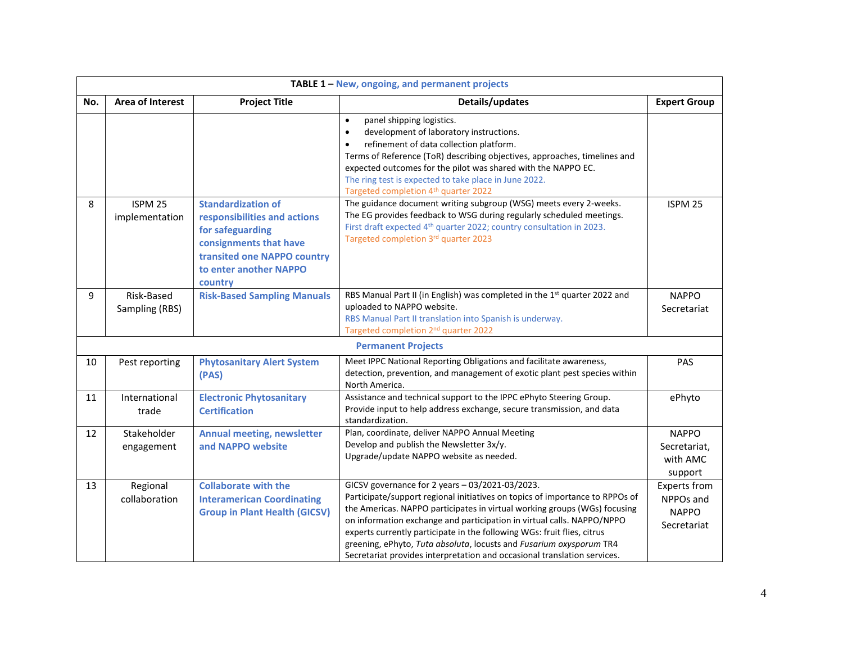|     | TABLE 1 - New, ongoing, and permanent projects |                                                                                                                                                                             |                                                                                                                                                                                                                                                                                                                                                                                                                                                                                                                      |                                                                 |
|-----|------------------------------------------------|-----------------------------------------------------------------------------------------------------------------------------------------------------------------------------|----------------------------------------------------------------------------------------------------------------------------------------------------------------------------------------------------------------------------------------------------------------------------------------------------------------------------------------------------------------------------------------------------------------------------------------------------------------------------------------------------------------------|-----------------------------------------------------------------|
| No. | <b>Area of Interest</b>                        | <b>Project Title</b>                                                                                                                                                        | Details/updates                                                                                                                                                                                                                                                                                                                                                                                                                                                                                                      | <b>Expert Group</b>                                             |
|     |                                                |                                                                                                                                                                             | panel shipping logistics.<br>$\bullet$<br>development of laboratory instructions.<br>$\bullet$<br>refinement of data collection platform.<br>$\bullet$<br>Terms of Reference (ToR) describing objectives, approaches, timelines and<br>expected outcomes for the pilot was shared with the NAPPO EC.<br>The ring test is expected to take place in June 2022.<br>Targeted completion 4 <sup>th</sup> quarter 2022                                                                                                    |                                                                 |
| 8   | ISPM <sub>25</sub><br>implementation           | <b>Standardization of</b><br>responsibilities and actions<br>for safeguarding<br>consignments that have<br>transited one NAPPO country<br>to enter another NAPPO<br>country | The guidance document writing subgroup (WSG) meets every 2-weeks.<br>The EG provides feedback to WSG during regularly scheduled meetings.<br>First draft expected 4 <sup>th</sup> quarter 2022; country consultation in 2023.<br>Targeted completion 3rd quarter 2023                                                                                                                                                                                                                                                | ISPM <sub>25</sub>                                              |
| 9   | Risk-Based<br>Sampling (RBS)                   | <b>Risk-Based Sampling Manuals</b>                                                                                                                                          | RBS Manual Part II (in English) was completed in the 1st quarter 2022 and<br>uploaded to NAPPO website.<br>RBS Manual Part II translation into Spanish is underway.<br>Targeted completion 2 <sup>nd</sup> quarter 2022                                                                                                                                                                                                                                                                                              | <b>NAPPO</b><br>Secretariat                                     |
|     |                                                |                                                                                                                                                                             | <b>Permanent Projects</b>                                                                                                                                                                                                                                                                                                                                                                                                                                                                                            |                                                                 |
| 10  | Pest reporting                                 | <b>Phytosanitary Alert System</b><br>(PAS)                                                                                                                                  | Meet IPPC National Reporting Obligations and facilitate awareness,<br>detection, prevention, and management of exotic plant pest species within<br>North America.                                                                                                                                                                                                                                                                                                                                                    | PAS                                                             |
| 11  | International<br>trade                         | <b>Electronic Phytosanitary</b><br><b>Certification</b>                                                                                                                     | Assistance and technical support to the IPPC ePhyto Steering Group.<br>Provide input to help address exchange, secure transmission, and data<br>standardization.                                                                                                                                                                                                                                                                                                                                                     | ePhyto                                                          |
| 12  | Stakeholder<br>engagement                      | <b>Annual meeting, newsletter</b><br>and NAPPO website                                                                                                                      | Plan, coordinate, deliver NAPPO Annual Meeting<br>Develop and publish the Newsletter 3x/y.<br>Upgrade/update NAPPO website as needed.                                                                                                                                                                                                                                                                                                                                                                                | <b>NAPPO</b><br>Secretariat,<br>with AMC<br>support             |
| 13  | Regional<br>collaboration                      | <b>Collaborate with the</b><br><b>Interamerican Coordinating</b><br><b>Group in Plant Health (GICSV)</b>                                                                    | GICSV governance for 2 years - 03/2021-03/2023.<br>Participate/support regional initiatives on topics of importance to RPPOs of<br>the Americas. NAPPO participates in virtual working groups (WGs) focusing<br>on information exchange and participation in virtual calls. NAPPO/NPPO<br>experts currently participate in the following WGs: fruit flies, citrus<br>greening, ePhyto, Tuta absoluta, locusts and Fusarium oxysporum TR4<br>Secretariat provides interpretation and occasional translation services. | <b>Experts from</b><br>NPPOs and<br><b>NAPPO</b><br>Secretariat |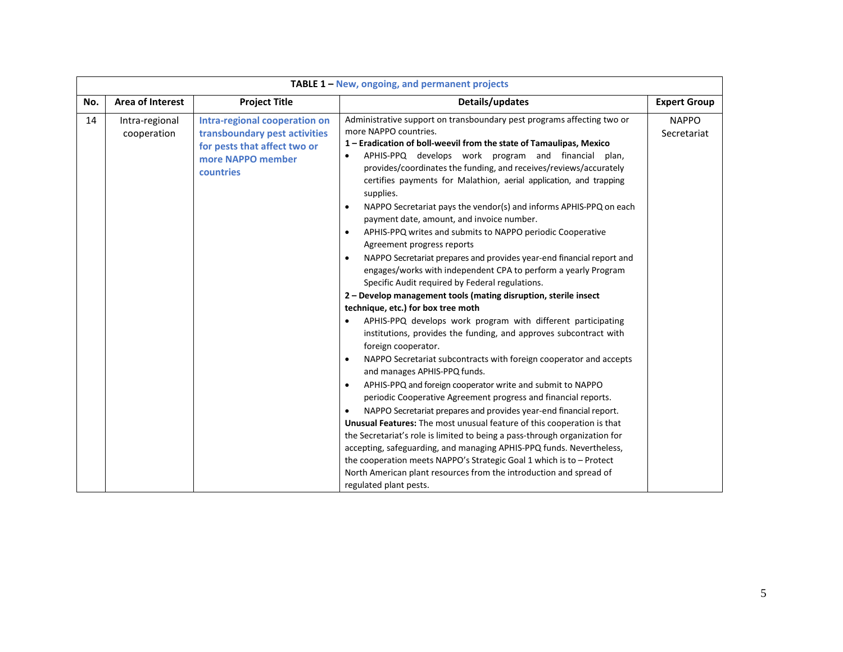|     | TABLE 1 - New, ongoing, and permanent projects |                                                                                                                                  |                                                                                                                                                                                                                                                                                                                                                                                                                                                                                                                                                                                                                                                                                                                                                                                                                                                                                                                                                                                                                                                                                                                                                                                                                                                                                                                                                                                                                                                                                                                                                                                                                                                                                                                                                                                                                                                              |                             |  |
|-----|------------------------------------------------|----------------------------------------------------------------------------------------------------------------------------------|--------------------------------------------------------------------------------------------------------------------------------------------------------------------------------------------------------------------------------------------------------------------------------------------------------------------------------------------------------------------------------------------------------------------------------------------------------------------------------------------------------------------------------------------------------------------------------------------------------------------------------------------------------------------------------------------------------------------------------------------------------------------------------------------------------------------------------------------------------------------------------------------------------------------------------------------------------------------------------------------------------------------------------------------------------------------------------------------------------------------------------------------------------------------------------------------------------------------------------------------------------------------------------------------------------------------------------------------------------------------------------------------------------------------------------------------------------------------------------------------------------------------------------------------------------------------------------------------------------------------------------------------------------------------------------------------------------------------------------------------------------------------------------------------------------------------------------------------------------------|-----------------------------|--|
| No. | Area of Interest                               | <b>Project Title</b>                                                                                                             | Details/updates                                                                                                                                                                                                                                                                                                                                                                                                                                                                                                                                                                                                                                                                                                                                                                                                                                                                                                                                                                                                                                                                                                                                                                                                                                                                                                                                                                                                                                                                                                                                                                                                                                                                                                                                                                                                                                              | <b>Expert Group</b>         |  |
| 14  | Intra-regional<br>cooperation                  | Intra-regional cooperation on<br>transboundary pest activities<br>for pests that affect two or<br>more NAPPO member<br>countries | Administrative support on transboundary pest programs affecting two or<br>more NAPPO countries.<br>1 - Eradication of boll-weevil from the state of Tamaulipas, Mexico<br>APHIS-PPQ develops work program and financial plan,<br>$\bullet$<br>provides/coordinates the funding, and receives/reviews/accurately<br>certifies payments for Malathion, aerial application, and trapping<br>supplies.<br>NAPPO Secretariat pays the vendor(s) and informs APHIS-PPQ on each<br>$\bullet$<br>payment date, amount, and invoice number.<br>APHIS-PPQ writes and submits to NAPPO periodic Cooperative<br>$\bullet$<br>Agreement progress reports<br>NAPPO Secretariat prepares and provides year-end financial report and<br>engages/works with independent CPA to perform a yearly Program<br>Specific Audit required by Federal regulations.<br>2 - Develop management tools (mating disruption, sterile insect<br>technique, etc.) for box tree moth<br>APHIS-PPQ develops work program with different participating<br>institutions, provides the funding, and approves subcontract with<br>foreign cooperator.<br>NAPPO Secretariat subcontracts with foreign cooperator and accepts<br>$\bullet$<br>and manages APHIS-PPQ funds.<br>APHIS-PPQ and foreign cooperator write and submit to NAPPO<br>periodic Cooperative Agreement progress and financial reports.<br>NAPPO Secretariat prepares and provides year-end financial report.<br>$\bullet$<br>Unusual Features: The most unusual feature of this cooperation is that<br>the Secretariat's role is limited to being a pass-through organization for<br>accepting, safeguarding, and managing APHIS-PPQ funds. Nevertheless,<br>the cooperation meets NAPPO's Strategic Goal 1 which is to - Protect<br>North American plant resources from the introduction and spread of<br>regulated plant pests. | <b>NAPPO</b><br>Secretariat |  |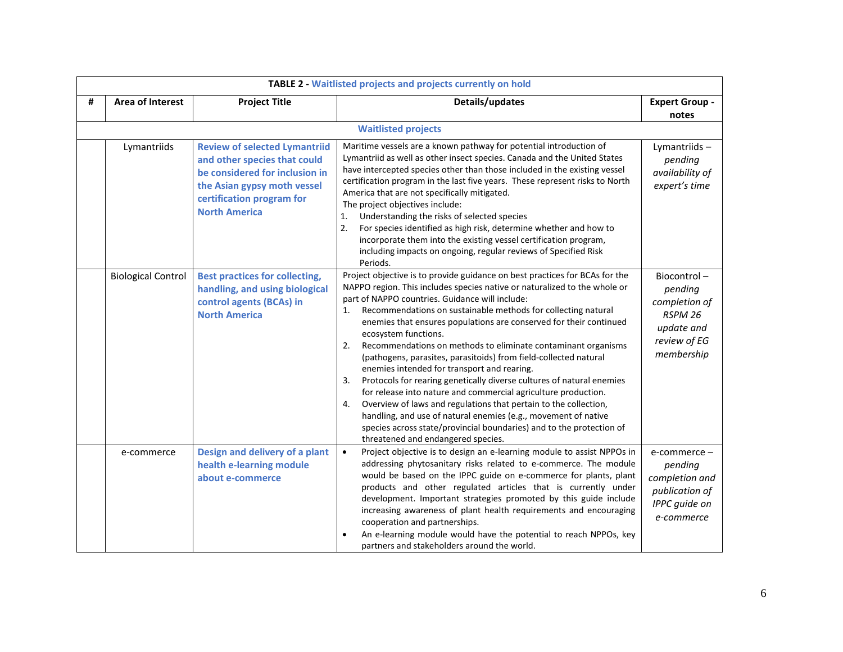|   | <b>TABLE 2 - Waitlisted projects and projects currently on hold</b> |                                                                                                                                                                                            |                                                                                                                                                                                                                                                                                                                                                                                                                                                                                                                                                                                                                                                                                                                                                                                                                                                                                                                                                                                       |                                                                                                |
|---|---------------------------------------------------------------------|--------------------------------------------------------------------------------------------------------------------------------------------------------------------------------------------|---------------------------------------------------------------------------------------------------------------------------------------------------------------------------------------------------------------------------------------------------------------------------------------------------------------------------------------------------------------------------------------------------------------------------------------------------------------------------------------------------------------------------------------------------------------------------------------------------------------------------------------------------------------------------------------------------------------------------------------------------------------------------------------------------------------------------------------------------------------------------------------------------------------------------------------------------------------------------------------|------------------------------------------------------------------------------------------------|
| # | <b>Area of Interest</b>                                             | <b>Project Title</b>                                                                                                                                                                       | Details/updates                                                                                                                                                                                                                                                                                                                                                                                                                                                                                                                                                                                                                                                                                                                                                                                                                                                                                                                                                                       | <b>Expert Group -</b>                                                                          |
|   |                                                                     |                                                                                                                                                                                            |                                                                                                                                                                                                                                                                                                                                                                                                                                                                                                                                                                                                                                                                                                                                                                                                                                                                                                                                                                                       | notes                                                                                          |
|   |                                                                     |                                                                                                                                                                                            | <b>Waitlisted projects</b>                                                                                                                                                                                                                                                                                                                                                                                                                                                                                                                                                                                                                                                                                                                                                                                                                                                                                                                                                            |                                                                                                |
|   | Lymantriids                                                         | <b>Review of selected Lymantriid</b><br>and other species that could<br>be considered for inclusion in<br>the Asian gypsy moth vessel<br>certification program for<br><b>North America</b> | Maritime vessels are a known pathway for potential introduction of<br>Lymantriid as well as other insect species. Canada and the United States<br>have intercepted species other than those included in the existing vessel<br>certification program in the last five years. These represent risks to North<br>America that are not specifically mitigated.<br>The project objectives include:<br>Understanding the risks of selected species<br>1.<br>2.<br>For species identified as high risk, determine whether and how to<br>incorporate them into the existing vessel certification program,<br>including impacts on ongoing, regular reviews of Specified Risk<br>Periods.                                                                                                                                                                                                                                                                                                     | Lymantriids-<br>pending<br>availability of<br>expert's time                                    |
|   | <b>Biological Control</b>                                           | <b>Best practices for collecting,</b><br>handling, and using biological<br>control agents (BCAs) in<br><b>North America</b>                                                                | Project objective is to provide guidance on best practices for BCAs for the<br>NAPPO region. This includes species native or naturalized to the whole or<br>part of NAPPO countries. Guidance will include:<br>Recommendations on sustainable methods for collecting natural<br>1.<br>enemies that ensures populations are conserved for their continued<br>ecosystem functions.<br>Recommendations on methods to eliminate contaminant organisms<br>2.<br>(pathogens, parasites, parasitoids) from field-collected natural<br>enemies intended for transport and rearing.<br>Protocols for rearing genetically diverse cultures of natural enemies<br>3.<br>for release into nature and commercial agriculture production.<br>Overview of laws and regulations that pertain to the collection,<br>4.<br>handling, and use of natural enemies (e.g., movement of native<br>species across state/provincial boundaries) and to the protection of<br>threatened and endangered species. | Biocontrol-<br>pending<br>completion of<br>RSPM 26<br>update and<br>review of EG<br>membership |
|   | e-commerce                                                          | Design and delivery of a plant<br>health e-learning module<br>about e-commerce                                                                                                             | Project objective is to design an e-learning module to assist NPPOs in<br>$\bullet$<br>addressing phytosanitary risks related to e-commerce. The module<br>would be based on the IPPC guide on e-commerce for plants, plant<br>products and other regulated articles that is currently under<br>development. Important strategies promoted by this guide include<br>increasing awareness of plant health requirements and encouraging<br>cooperation and partnerships.<br>An e-learning module would have the potential to reach NPPOs, key<br>partners and stakeholders around the world.                                                                                                                                                                                                                                                                                                                                                                                            | e-commerce -<br>pending<br>completion and<br>publication of<br>IPPC guide on<br>e-commerce     |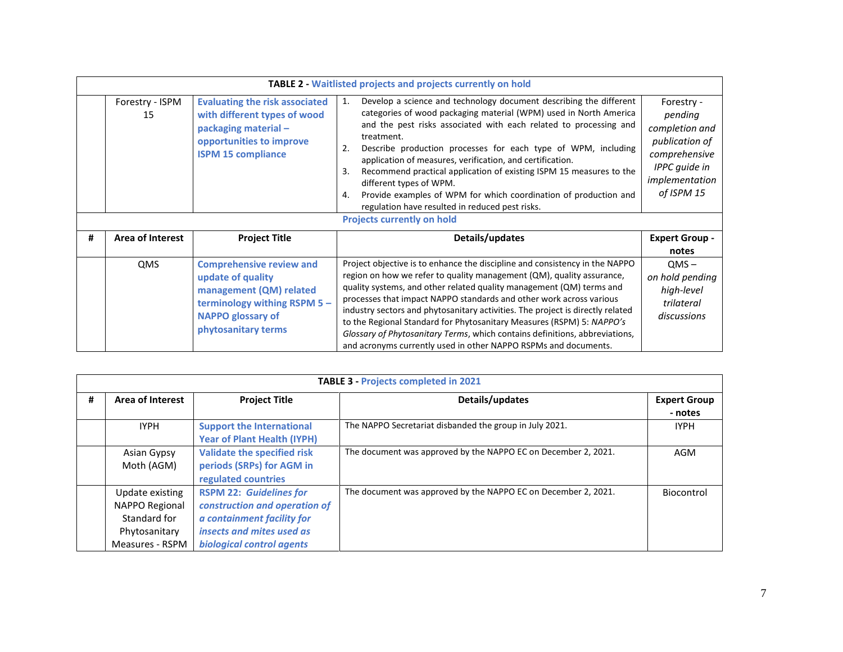|   | <b>TABLE 2 - Waitlisted projects and projects currently on hold</b> |                                                                                                                                                                    |                                                                                                                                                                                                                                                                                                                                                                                                                                                                                                                                                                                                                  |                                                                                                                             |  |
|---|---------------------------------------------------------------------|--------------------------------------------------------------------------------------------------------------------------------------------------------------------|------------------------------------------------------------------------------------------------------------------------------------------------------------------------------------------------------------------------------------------------------------------------------------------------------------------------------------------------------------------------------------------------------------------------------------------------------------------------------------------------------------------------------------------------------------------------------------------------------------------|-----------------------------------------------------------------------------------------------------------------------------|--|
|   | Forestry - ISPM<br>15                                               | <b>Evaluating the risk associated</b><br>with different types of wood<br>packaging material -<br>opportunities to improve<br><b>ISPM 15 compliance</b>             | Develop a science and technology document describing the different<br>1.<br>categories of wood packaging material (WPM) used in North America<br>and the pest risks associated with each related to processing and<br>treatment.<br>Describe production processes for each type of WPM, including<br>2.<br>application of measures, verification, and certification.<br>Recommend practical application of existing ISPM 15 measures to the<br>3.<br>different types of WPM.<br>Provide examples of WPM for which coordination of production and<br>4.<br>regulation have resulted in reduced pest risks.        | Forestry -<br>pending<br>completion and<br>publication of<br>comprehensive<br>IPPC guide in<br>implementation<br>of ISPM 15 |  |
|   |                                                                     |                                                                                                                                                                    | <b>Projects currently on hold</b>                                                                                                                                                                                                                                                                                                                                                                                                                                                                                                                                                                                |                                                                                                                             |  |
| # | <b>Area of Interest</b>                                             | <b>Project Title</b>                                                                                                                                               | Details/updates                                                                                                                                                                                                                                                                                                                                                                                                                                                                                                                                                                                                  | <b>Expert Group -</b><br>notes                                                                                              |  |
|   | QMS                                                                 | <b>Comprehensive review and</b><br>update of quality<br>management (QM) related<br>terminology withing RSPM 5 -<br><b>NAPPO glossary of</b><br>phytosanitary terms | Project objective is to enhance the discipline and consistency in the NAPPO<br>region on how we refer to quality management (QM), quality assurance,<br>quality systems, and other related quality management (QM) terms and<br>processes that impact NAPPO standards and other work across various<br>industry sectors and phytosanitary activities. The project is directly related<br>to the Regional Standard for Phytosanitary Measures (RSPM) 5: NAPPO's<br>Glossary of Phytosanitary Terms, which contains definitions, abbreviations,<br>and acronyms currently used in other NAPPO RSPMs and documents. | $QMS -$<br>on hold pending<br>high-level<br>trilateral<br>discussions                                                       |  |

|   | <b>TABLE 3 - Projects completed in 2021</b>                                           |                                                                                                                                                         |                                                                |                                |  |  |
|---|---------------------------------------------------------------------------------------|---------------------------------------------------------------------------------------------------------------------------------------------------------|----------------------------------------------------------------|--------------------------------|--|--|
| # | Area of Interest                                                                      | <b>Project Title</b>                                                                                                                                    | Details/updates                                                | <b>Expert Group</b><br>- notes |  |  |
|   | <b>IYPH</b>                                                                           | <b>Support the International</b><br><b>Year of Plant Health (IYPH)</b>                                                                                  | The NAPPO Secretariat disbanded the group in July 2021.        | <b>IYPH</b>                    |  |  |
|   | Asian Gypsy<br>Moth (AGM)                                                             | <b>Validate the specified risk</b><br>periods (SRPs) for AGM in<br>regulated countries                                                                  | The document was approved by the NAPPO EC on December 2, 2021. | AGM                            |  |  |
|   | Update existing<br>NAPPO Regional<br>Standard for<br>Phytosanitary<br>Measures - RSPM | <b>RSPM 22: Guidelines for</b><br>construction and operation of<br>a containment facility for<br>insects and mites used as<br>biological control agents | The document was approved by the NAPPO EC on December 2, 2021. | Biocontrol                     |  |  |